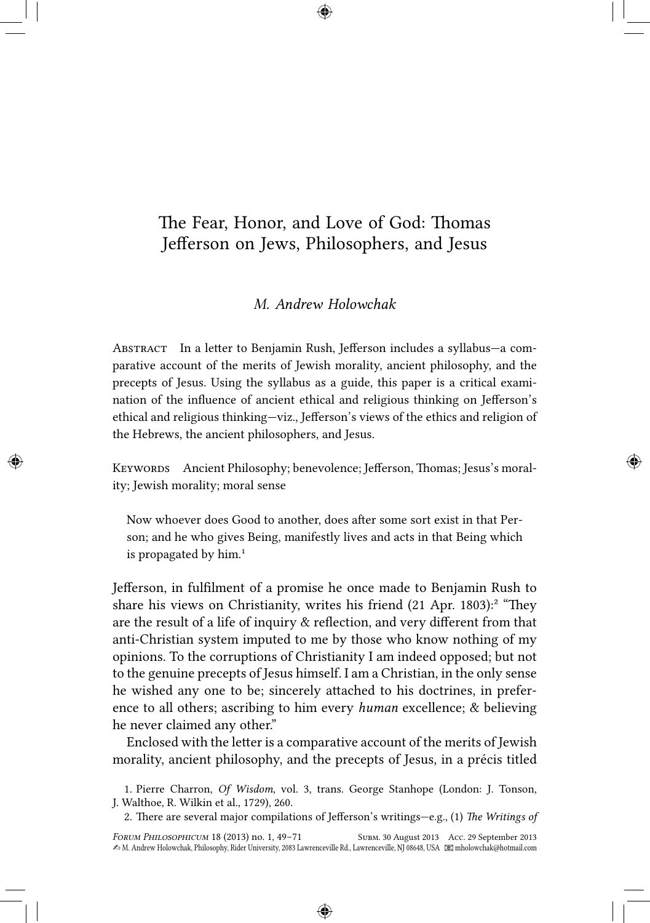# The Fear, Honor, and Love of God: Thomas<br>Jefferson on Jews, Philosophers, and Jesus<br>M. Andrew Holowchak Jefferson on Jews, Philosophers, and Jesus

# *M. Andrew Holowchak*

ABSTRACT In a letter to Benjamin Rush, Jefferson includes a syllabus—a comparative account of the merits of Jewish morality, ancient philosophy, and the precepts of Jesus. Using the syllabus as a guide, this paper is a critical examination of the influence of ancient ethical and religious thinking on Jefferson's ethical and religious thinking—viz., Jefferson's views of the ethics and religion of the Hebrews, the ancient philosophers, and Jesus.

KEYWORDS Ancient Philosophy; benevolence; Jefferson, Thomas; Jesus's morality; Jewish morality; moral sense

Now whoever does Good to another, does after some sort exist in that Person; and he who gives Being, manifestly lives and acts in that Being which is propagated by  $him.<sup>1</sup>$ 

Jefferson, in fulfilment of a promise he once made to Benjamin Rush to share his views on Christianity, writes his friend  $(21$  Apr. 1803):<sup>2</sup> "They are the result of a life of inquiry & reflection, and very different from that anti-Christian system imputed to me by those who know nothing of my opinions. To the corruptions of Christianity I am indeed opposed; but not to the genuine precepts of Jesus himself. I am a Christian, in the only sense he wished any one to be; sincerely attached to his doctrines, in preference to all others; ascribing to him every *human* excellence; & believing he never claimed any other."

Enclosed with the letter is a comparative account of the merits of Jewish morality, ancient philosophy, and the precepts of Jesus, in a précis titled

1. Pierre Charron, *Of Wisdom*, vol. 3, trans. George Stanhope (London: J. Tonson, J. Walthoe, R. Wilkin et al., 1729), 260.

2. There are several major compilations of Jefferson's writings-e.g., (1) The Writings of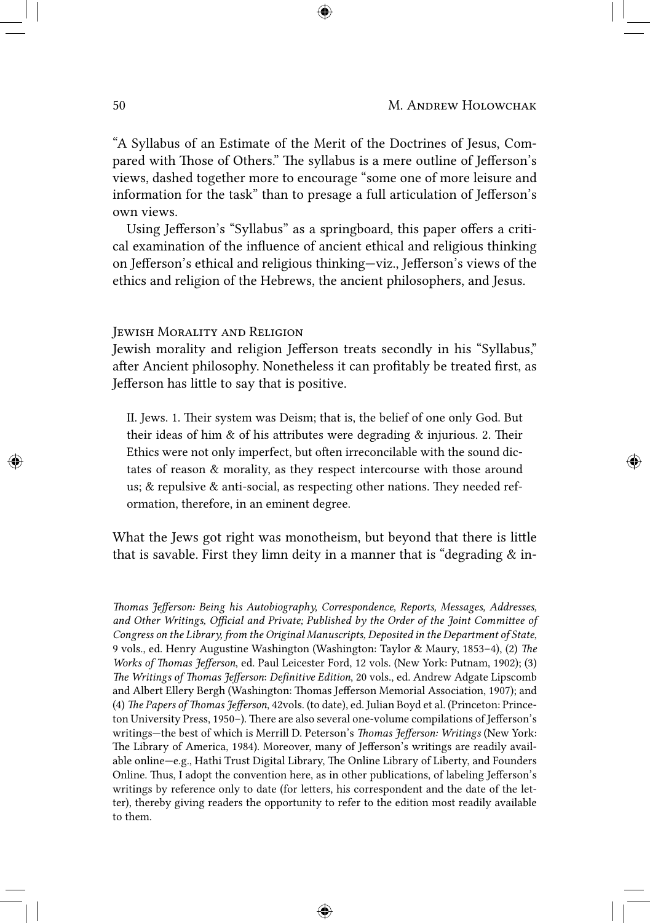"A Syllabus of an Estimate of the Merit of the Doctrines of Jesus, Compared with Those of Others." The syllabus is a mere outline of Jefferson's views, dashed together more to encourage "some one of more leisure and information for the task" than to presage a full articulation of Jefferson's own views.

Using Jefferson's "Syllabus" as a springboard, this paper offers a critical examination of the influence of ancient ethical and religious thinking on Jefferson's ethical and religious thinking—viz., Jefferson's views of the ethics and religion of the Hebrews, the ancient philosophers, and Jesus.

## JEWISH MORALITY AND RELIGION

Jewish morality and religion Jefferson treats secondly in his "Syllabus," after Ancient philosophy. Nonetheless it can profitably be treated first, as Jefferson has little to say that is positive.

II. Jews. 1. Their system was Deism; that is, the belief of one only God. But their ideas of him  $\&$  of his attributes were degrading  $\&$  injurious. 2. Their Ethics were not only imperfect, but often irreconcilable with the sound dictates of reason & morality, as they respect intercourse with those around us;  $\&$  repulsive  $\&$  anti-social, as respecting other nations. They needed reformation, therefore, in an eminent degree.

What the Jews got right was monotheism, but beyond that there is little that is savable. First they limn deity in a manner that is "degrading  $\&$  in-

*omas Jefferson: Being his Autobiography, Correspondence, Reports, Messages, Addresses,* and Other Writings, Official and Private; Published by the Order of the Joint Committee of *Congress on the Library, from the Original Manuscripts, Deposited in the Department of State*, 9 vols., ed. Henry Augustine Washington (Washington: Taylor & Maury, 1853–4), (2) *The Works of Thomas Jefferson*, ed. Paul Leicester Ford, 12 vols. (New York: Putnam, 1902); (3) *The Writings of Thomas Jefferson: Definitive Edition*, 20 vols., ed. Andrew Adgate Lipscomb and Albert Ellery Bergh (Washington: Thomas Jefferson Memorial Association, 1907); and (4) *The Papers of Thomas Jefferson*, 42vols. (to date), ed. Julian Boyd et al. (Princeton: Princeton University Press, 1950–). There are also several one-volume compilations of Jefferson's writings-the best of which is Merrill D. Peterson's *Thomas Jefferson: Writings* (New York: The Library of America, 1984). Moreover, many of Jefferson's writings are readily available online—e.g., Hathi Trust Digital Library, The Online Library of Liberty, and Founders Online. Thus, I adopt the convention here, as in other publications, of labeling Jefferson's writings by reference only to date (for letters, his correspondent and the date of the letter), thereby giving readers the opportunity to refer to the edition most readily available to them.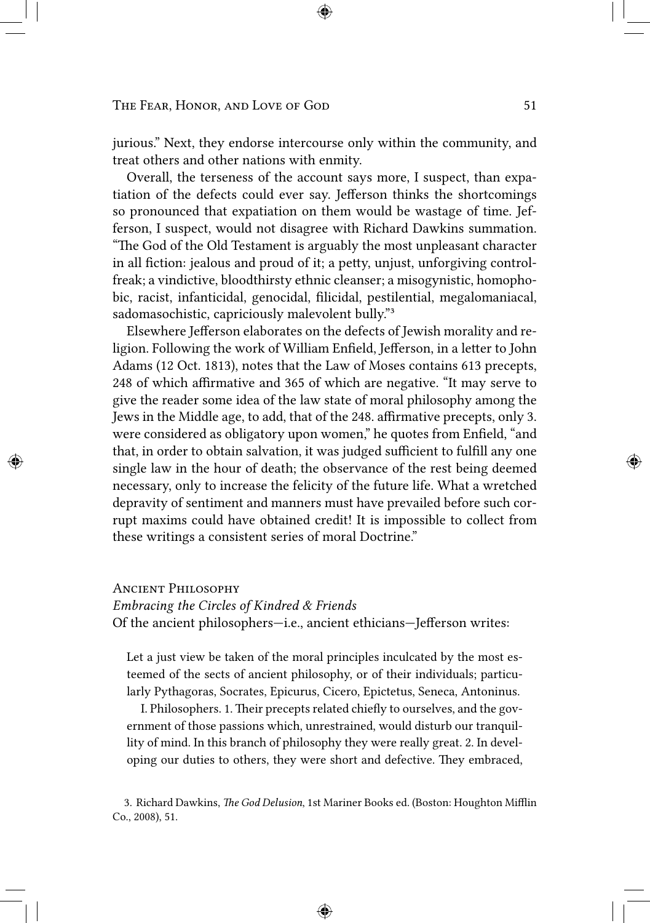jurious." Next, they endorse intercourse only within the community, and treat others and other nations with enmity.

Overall, the terseness of the account says more, I suspect, than expatiation of the defects could ever say. Jefferson thinks the shortcomings so pronounced that expatiation on them would be wastage of time. Jefferson, I suspect, would not disagree with Richard Dawkins summation. "The God of the Old Testament is arguably the most unpleasant character in all fiction: jealous and proud of it; a petty, unjust, unforgiving controlfreak; a vindictive, bloodthirsty ethnic cleanser; a misogynistic, homophobic, racist, infanticidal, genocidal, filicidal, pestilential, megalomaniacal, sadomasochistic, capriciously malevolent bully."3

Elsewhere Jefferson elaborates on the defects of Jewish morality and religion. Following the work of William Enfield, Jefferson, in a letter to John Adams (12 Oct. 1813), notes that the Law of Moses contains 613 precepts, 248 of which affirmative and 365 of which are negative. "It may serve to give the reader some idea of the law state of moral philosophy among the Jews in the Middle age, to add, that of the 248. affirmative precepts, only 3. were considered as obligatory upon women," he quotes from Enfield, "and that, in order to obtain salvation, it was judged sufficient to fulfill any one single law in the hour of death; the observance of the rest being deemed necessary, only to increase the felicity of the future life. What a wretched depravity of sentiment and manners must have prevailed before such corrupt maxims could have obtained credit! It is impossible to collect from these writings a consistent series of moral Doctrine."

# **ANCIENT PHILOSOPHY**

### *Embracing the Circles of Kindred & Friends*

Of the ancient philosophers—i.e., ancient ethicians—Jefferson writes:

Let a just view be taken of the moral principles inculcated by the most esteemed of the sects of ancient philosophy, or of their individuals; particularly Pythagoras, Socrates, Epicurus, Cicero, Epictetus, Seneca, Antoninus.

I. Philosophers. 1. Their precepts related chiefly to ourselves, and the government of those passions which, unrestrained, would disturb our tranquillity of mind. In this branch of philosophy they were really great. 2. In developing our duties to others, they were short and defective. They embraced,

3. Richard Dawkins, *The God Delusion*, 1st Mariner Books ed. (Boston: Houghton Mifflin Co., 2008), 51.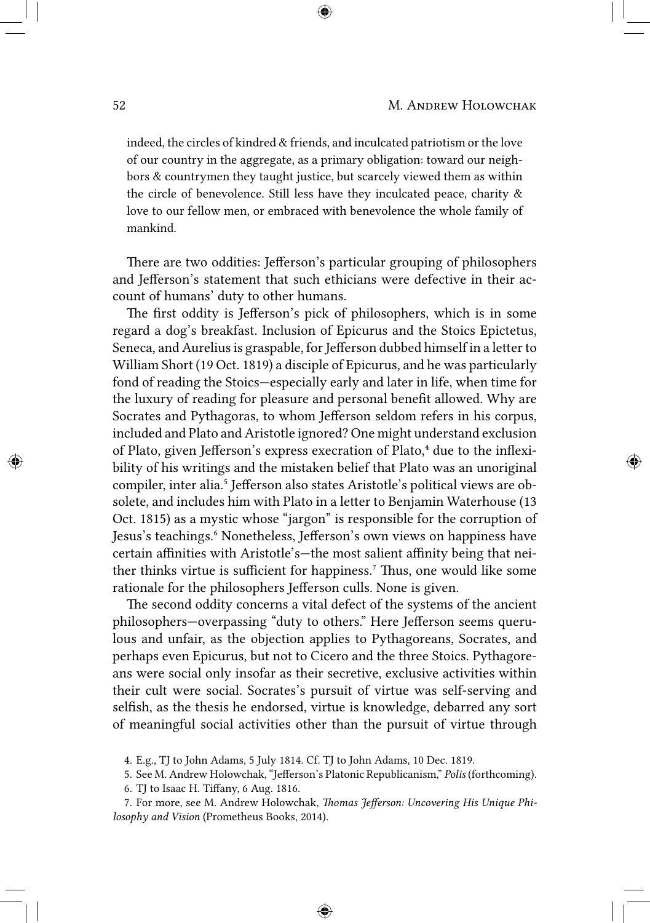indeed, the circles of kindred & friends, and inculcated patriotism or the love of our country in the aggregate, as a primary obligation: toward our neighbors & countrymen they taught justice, but scarcely viewed them as within the circle of benevolence. Still less have they inculcated peace, charity & love to our fellow men, or embraced with benevolence the whole family of mankind.

There are two oddities: Jefferson's particular grouping of philosophers and Jefferson's statement that such ethicians were defective in their account of humans' duty to other humans.

The first oddity is Jefferson's pick of philosophers, which is in some regard a dog's breakfast. Inclusion of Epicurus and the Stoics Epictetus, Seneca, and Aurelius is graspable, for Jefferson dubbed himself in a letter to William Short (19 Oct. 1819) a disciple of Epicurus, and he was particularly fond of reading the Stoics—especially early and later in life, when time for the luxury of reading for pleasure and personal benefit allowed. Why are Socrates and Pythagoras, to whom Jefferson seldom refers in his corpus, included and Plato and Aristotle ignored? One might understand exclusion of Plato, given Jefferson's express execration of Plato,<sup>4</sup> due to the inflexibility of his writings and the mistaken belief that Plato was an unoriginal compiler, inter alia.<sup>5</sup> Jefferson also states Aristotle's political views are obsolete, and includes him with Plato in a letter to Benjamin Waterhouse (13 Oct. 1815) as a mystic whose "jargon" is responsible for the corruption of Jesus's teachings.<sup>6</sup> Nonetheless, Jefferson's own views on happiness have certain affinities with Aristotle's—the most salient affinity being that neither thinks virtue is sufficient for happiness.<sup>7</sup> Thus, one would like some rationale for the philosophers Jefferson culls. None is given.

The second oddity concerns a vital defect of the systems of the ancient philosophers—overpassing "duty to others." Here Jefferson seems querulous and unfair, as the objection applies to Pythagoreans, Socrates, and perhaps even Epicurus, but not to Cicero and the three Stoics. Pythagoreans were social only insofar as their secretive, exclusive activities within their cult were social. Socrates's pursuit of virtue was self-serving and selfish, as the thesis he endorsed, virtue is knowledge, debarred any sort of meaningful social activities other than the pursuit of virtue through

- 6. TJ to Isaac H. Tiffany, 6 Aug. 1816.
- 7. For more, see M. Andrew Holowchak, *Thomas Jefferson: Uncovering His Unique Philosophy and Vision* (Prometheus Books, 2014).

<sup>4.</sup> E.g., TJ to John Adams, 5 July 1814. Cf. TJ to John Adams, 10 Dec. 1819.

<sup>5.</sup> See M. Andrew Holowchak, "Jefferson's Platonic Republicanism," *Polis* (forthcoming).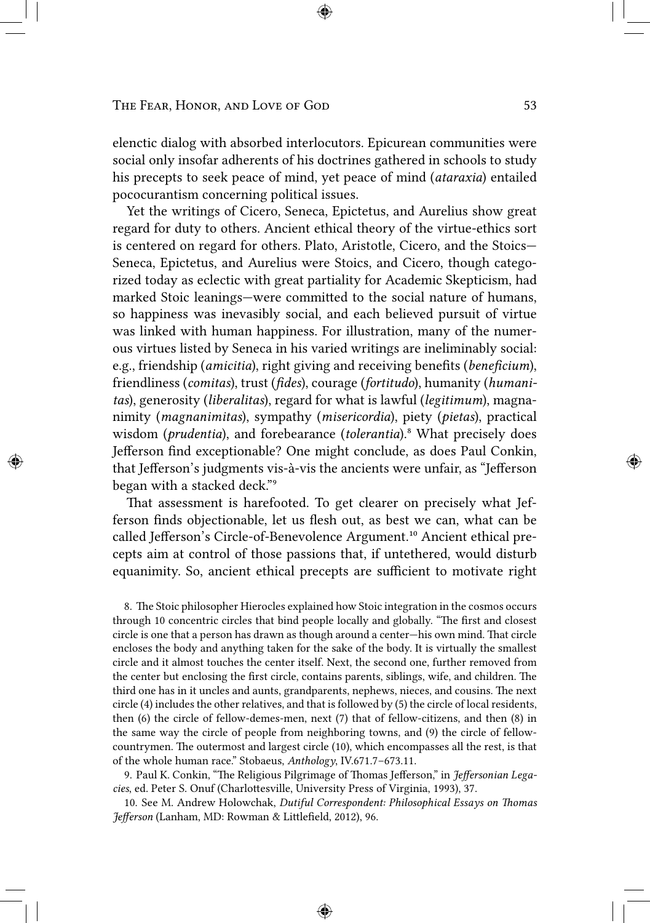elenctic dialog with absorbed interlocutors. Epicurean communities were social only insofar adherents of his doctrines gathered in schools to study his precepts to seek peace of mind, yet peace of mind (*ataraxia*) entailed pococurantism concerning political issues.

Yet the writings of Cicero, Seneca, Epictetus, and Aurelius show great regard for duty to others. Ancient ethical theory of the virtue-ethics sort is centered on regard for others. Plato, Aristotle, Cicero, and the Stoics— Seneca, Epictetus, and Aurelius were Stoics, and Cicero, though categorized today as eclectic with great partiality for Academic Skepticism, had marked Stoic leanings—were committed to the social nature of humans, so happiness was inevasibly social, and each believed pursuit of virtue was linked with human happiness. For illustration, many of the numerous virtues listed by Seneca in his varied writings are ineliminably social: e.g., friendship (*amicitia*), right giving and receiving benefits (*beneficium*), friendliness (*comitas*), trust (*fides*), courage (*fortitudo*), humanity (*humanitas*), generosity (*liberalitas*), regard for what is lawful (*legitimum*), magnanimity (*magnanimitas*), sympathy (*misericordia*), piety (*pietas*), practical wisdom (*prudentia*), and forebearance (*tolerantia*).⁸ What precisely does Jefferson find exceptionable? One might conclude, as does Paul Conkin, that Jefferson's judgments vis-à-vis the ancients were unfair, as "Jefferson began with a stacked deck."<sup>9</sup>

That assessment is harefooted. To get clearer on precisely what Jefferson finds objectionable, let us flesh out, as best we can, what can be called Jefferson's Circle-of-Benevolence Argument.<sup>10</sup> Ancient ethical precepts aim at control of those passions that, if untethered, would disturb equanimity. So, ancient ethical precepts are sufficient to motivate right

8. The Stoic philosopher Hierocles explained how Stoic integration in the cosmos occurs through 10 concentric circles that bind people locally and globally. "The first and closest circle is one that a person has drawn as though around a center-his own mind. That circle encloses the body and anything taken for the sake of the body. It is virtually the smallest circle and it almost touches the center itself. Next, the second one, further removed from the center but enclosing the first circle, contains parents, siblings, wife, and children. The third one has in it uncles and aunts, grandparents, nephews, nieces, and cousins. The next circle (4) includes the other relatives, and that is followed by (5) the circle of local residents, then (6) the circle of fellow-demes-men, next (7) that of fellow-citizens, and then (8) in the same way the circle of people from neighboring towns, and (9) the circle of fellowcountrymen. The outermost and largest circle (10), which encompasses all the rest, is that of the whole human race." Stobaeus, *Anthology*, IV.671.7–673.11.

9. Paul K. Conkin, "The Religious Pilgrimage of Thomas Jefferson," in *Jeffersonian Lega*cies, ed. Peter S. Onuf (Charlottesville, University Press of Virginia, 1993), 37.

10. See M. Andrew Holowchak, *Dutiful Correspondent: Philosophical Essays on Thomas* Jefferson (Lanham, MD: Rowman & Littlefield, 2012), 96.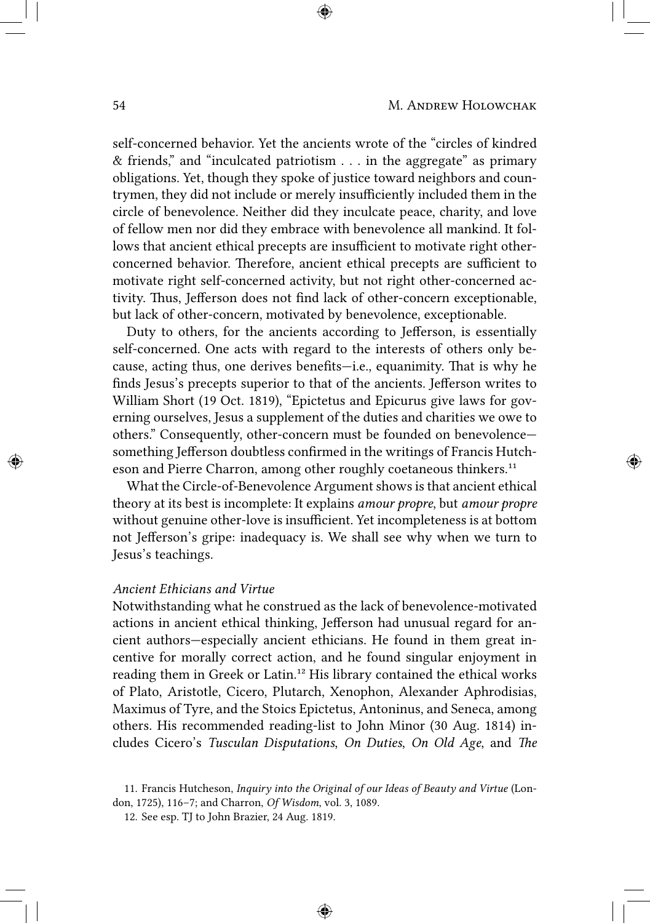self-concerned behavior. Yet the ancients wrote of the "circles of kindred & friends," and "inculcated patriotism . . . in the aggregate" as primary obligations. Yet, though they spoke of justice toward neighbors and countrymen, they did not include or merely insufficiently included them in the circle of benevolence. Neither did they inculcate peace, charity, and love of fellow men nor did they embrace with benevolence all mankind. It follows that ancient ethical precepts are insufficient to motivate right otherconcerned behavior. Therefore, ancient ethical precepts are sufficient to motivate right self-concerned activity, but not right other-concerned activity. Thus, Jefferson does not find lack of other-concern exceptionable, but lack of other-concern, motivated by benevolence, exceptionable.

Duty to others, for the ancients according to Jefferson, is essentially self-concerned. One acts with regard to the interests of others only because, acting thus, one derives benefits—i.e., equanimity. That is why he finds Jesus's precepts superior to that of the ancients. Jefferson writes to William Short (19 Oct. 1819), "Epictetus and Epicurus give laws for governing ourselves, Jesus a supplement of the duties and charities we owe to others." Consequently, other-concern must be founded on benevolence something Jefferson doubtless confirmed in the writings of Francis Hutcheson and Pierre Charron, among other roughly coetaneous thinkers.<sup>11</sup>

What the Circle-of-Benevolence Argument shows is that ancient ethical theory at its best is incomplete: It explains *amour propre*, but *amour propre* without genuine other-love is insufficient. Yet incompleteness is at bottom not Jefferson's gripe: inadequacy is. We shall see why when we turn to Jesus's teachings.

# *Ancient Ethicians and Virtue*

Notwithstanding what he construed as the lack of benevolence-motivated actions in ancient ethical thinking, Jefferson had unusual regard for ancient authors—especially ancient ethicians. He found in them great incentive for morally correct action, and he found singular enjoyment in reading them in Greek or Latin.<sup>12</sup> His library contained the ethical works of Plato, Aristotle, Cicero, Plutarch, Xenophon, Alexander Aphrodisias, Maximus of Tyre, and the Stoics Epictetus, Antoninus, and Seneca, among others. His recommended reading-list to John Minor (30 Aug. 1814) includes Cicero's *Tusculan Disputations*, *On Duties*, *On Old Age*, and *The* 

<sup>11.</sup> Francis Hutcheson, *Inquiry into the Original of our Ideas of Beauty and Virtue* (London, 1725), 116–7; and Charron, *Of Wisdom*, vol. 3, 1089.

<sup>12.</sup> See esp. TJ to John Brazier, 24 Aug. 1819.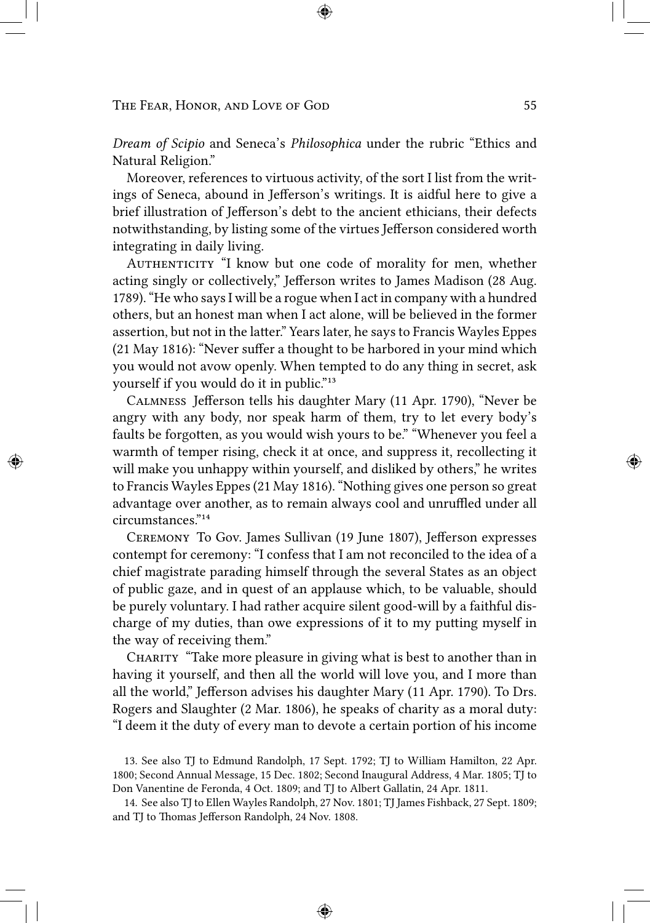*Dream of Scipio* and Seneca's *Philosophica* under the rubric "Ethics and Natural Religion."

Moreover, references to virtuous activity, of the sort I list from the writings of Seneca, abound in Jefferson's writings. It is aidful here to give a brief illustration of Jefferson's debt to the ancient ethicians, their defects notwithstanding, by listing some of the virtues Jefferson considered worth integrating in daily living.

AUTHENTICITY "I know but one code of morality for men, whether acting singly or collectively," Jefferson writes to James Madison (28 Aug. 1789). "He who says I will be a rogue when I act in company with a hundred others, but an honest man when I act alone, will be believed in the former assertion, but not in the latter." Years later, he says to Francis Wayles Eppes (21 May 1816): "Never suffer a thought to be harbored in your mind which you would not avow openly. When tempted to do any thing in secret, ask yourself if you would do it in public."<sup>13</sup>

CALMNESS Jefferson tells his daughter Mary (11 Apr. 1790), "Never be angry with any body, nor speak harm of them, try to let every body's faults be forgotten, as you would wish yours to be." "Whenever you feel a warmth of temper rising, check it at once, and suppress it, recollecting it will make you unhappy within yourself, and disliked by others," he writes to Francis Wayles Eppes (21 May 1816). "Nothing gives one person so great advantage over another, as to remain always cool and unruffled under all circumstances."<sup>14</sup>

CEREMONY To Gov. James Sullivan (19 June 1807), Jefferson expresses contempt for ceremony: "I confess that I am not reconciled to the idea of a chief magistrate parading himself through the several States as an object of public gaze, and in quest of an applause which, to be valuable, should be purely voluntary. I had rather acquire silent good-will by a faithful discharge of my duties, than owe expressions of it to my putting myself in the way of receiving them."

CHARITY "Take more pleasure in giving what is best to another than in having it yourself, and then all the world will love you, and I more than all the world," Jefferson advises his daughter Mary (11 Apr. 1790). To Drs. Rogers and Slaughter (2 Mar. 1806), he speaks of charity as a moral duty: "I deem it the duty of every man to devote a certain portion of his income

13. See also TJ to Edmund Randolph, 17 Sept. 1792; TJ to William Hamilton, 22 Apr. 1800; Second Annual Message, 15 Dec. 1802; Second Inaugural Address, 4 Mar. 1805; TJ to Don Vanentine de Feronda, 4 Oct. 1809; and TJ to Albert Gallatin, 24 Apr. 1811.

14. See also TJ to Ellen Wayles Randolph, 27 Nov. 1801; TJ James Fishback, 27 Sept. 1809; and TJ to Thomas Jefferson Randolph, 24 Nov. 1808.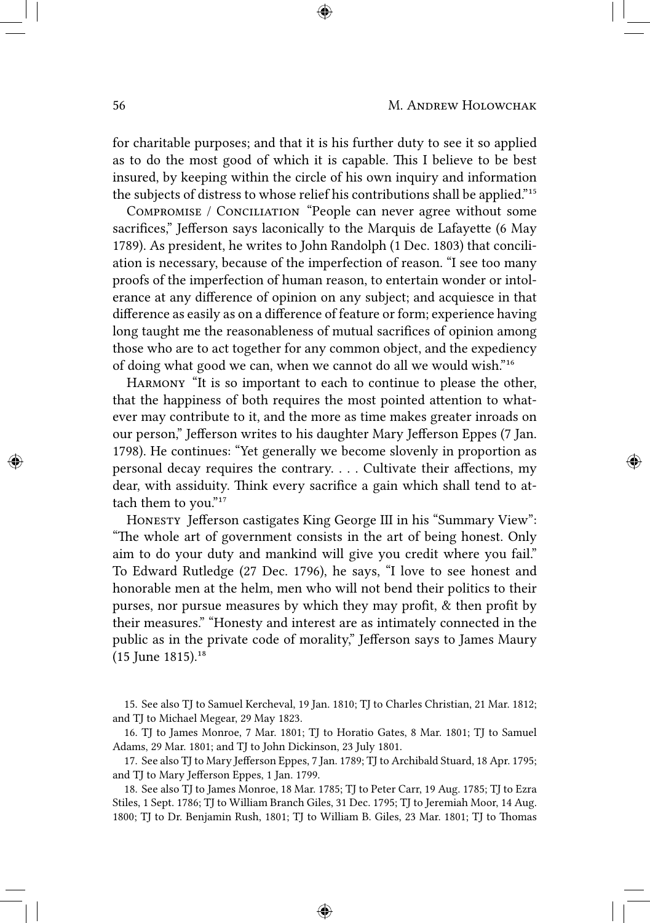for charitable purposes; and that it is his further duty to see it so applied as to do the most good of which it is capable. This I believe to be best insured, by keeping within the circle of his own inquiry and information the subjects of distress to whose relief his contributions shall be applied."<sup>15</sup>

COMPROMISE / CONCILIATION "People can never agree without some sacrifices," Jefferson says laconically to the Marquis de Lafayette (6 May 1789). As president, he writes to John Randolph (1 Dec. 1803) that conciliation is necessary, because of the imperfection of reason. "I see too many proofs of the imperfection of human reason, to entertain wonder or intolerance at any difference of opinion on any subject; and acquiesce in that difference as easily as on a difference of feature or form; experience having long taught me the reasonableness of mutual sacrifices of opinion among those who are to act together for any common object, and the expediency of doing what good we can, when we cannot do all we would wish."<sup>16</sup>

HARMONY "It is so important to each to continue to please the other, that the happiness of both requires the most pointed attention to whatever may contribute to it, and the more as time makes greater inroads on our person," Jefferson writes to his daughter Mary Jefferson Eppes (7 Jan. 1798). He continues: "Yet generally we become slovenly in proportion as personal decay requires the contrary. . . . Cultivate their affections, my dear, with assiduity. Think every sacrifice a gain which shall tend to attach them to you." $17$ 

HONESTY Jefferson castigates King George III in his "Summary View": "The whole art of government consists in the art of being honest. Only aim to do your duty and mankind will give you credit where you fail." To Edward Rutledge (27 Dec. 1796), he says, "I love to see honest and honorable men at the helm, men who will not bend their politics to their purses, nor pursue measures by which they may profit, & then profit by their measures." "Honesty and interest are as intimately connected in the public as in the private code of morality," Jefferson says to James Maury  $(15$  June 1815).<sup>18</sup>

15. See also TJ to Samuel Kercheval, 19 Jan. 1810; TJ to Charles Christian, 21 Mar. 1812; and TJ to Michael Megear, 29 May 1823.

16. TJ to James Monroe, 7 Mar. 1801; TJ to Horatio Gates, 8 Mar. 1801; TJ to Samuel Adams, 29 Mar. 1801; and TJ to John Dickinson, 23 July 1801.

17. See also TJ to Mary Jefferson Eppes, 7 Jan. 1789; TJ to Archibald Stuard, 18 Apr. 1795; and TJ to Mary Jefferson Eppes, 1 Jan. 1799.

18. See also TJ to James Monroe, 18 Mar. 1785; TJ to Peter Carr, 19 Aug. 1785; TJ to Ezra Stiles, 1 Sept. 1786; TJ to William Branch Giles, 31 Dec. 1795; TJ to Jeremiah Moor, 14 Aug. 1800; TJ to Dr. Benjamin Rush, 1801; TJ to William B. Giles, 23 Mar. 1801; TJ to Thomas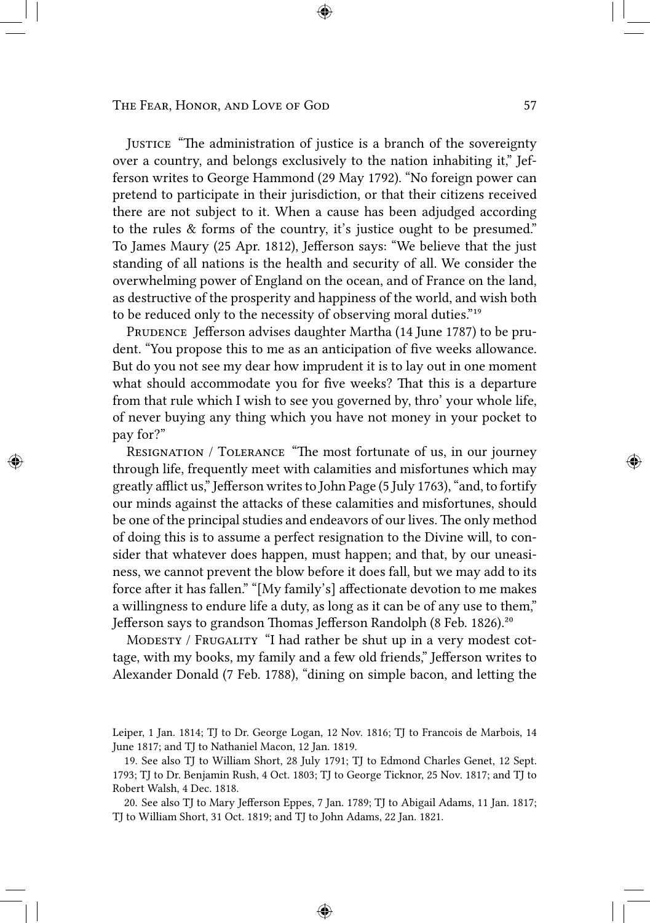JUSTICE "The administration of justice is a branch of the sovereignty over a country, and belongs exclusively to the nation inhabiting it," Jefferson writes to George Hammond (29 May 1792). "No foreign power can pretend to participate in their jurisdiction, or that their citizens received there are not subject to it. When a cause has been adjudged according to the rules & forms of the country, it's justice ought to be presumed." To James Maury (25 Apr. 1812), Jefferson says: "We believe that the just standing of all nations is the health and security of all. We consider the overwhelming power of England on the ocean, and of France on the land, as destructive of the prosperity and happiness of the world, and wish both to be reduced only to the necessity of observing moral duties."<sup>19</sup>

PRUDENCE Jefferson advises daughter Martha (14 June 1787) to be prudent. "You propose this to me as an anticipation of five weeks allowance. But do you not see my dear how imprudent it is to lay out in one moment what should accommodate you for five weeks? That this is a departure from that rule which I wish to see you governed by, thro' your whole life, of never buying any thing which you have not money in your pocket to pay for?"

RESIGNATION / TOLERANCE "The most fortunate of us, in our journey through life, frequently meet with calamities and misfortunes which may greatly afflict us," Jefferson writes to John Page (5 July 1763), "and, to fortify our minds against the attacks of these calamities and misfortunes, should be one of the principal studies and endeavors of our lives. The only method of doing this is to assume a perfect resignation to the Divine will, to consider that whatever does happen, must happen; and that, by our uneasiness, we cannot prevent the blow before it does fall, but we may add to its force after it has fallen." "[My family's] affectionate devotion to me makes a willingness to endure life a duty, as long as it can be of any use to them," Jefferson says to grandson Thomas Jefferson Randolph (8 Feb. 1826).<sup>20</sup>

MODESTY / FRUGALITY "I had rather be shut up in a very modest cottage, with my books, my family and a few old friends," Jefferson writes to Alexander Donald (7 Feb. 1788), "dining on simple bacon, and letting the

20. See also TJ to Mary Jefferson Eppes, 7 Jan. 1789; TJ to Abigail Adams, 11 Jan. 1817; TJ to William Short, 31 Oct. 1819; and TJ to John Adams, 22 Jan. 1821.

Leiper, 1 Jan. 1814; TJ to Dr. George Logan, 12 Nov. 1816; TJ to Francois de Marbois, 14 June 1817; and TJ to Nathaniel Macon, 12 Jan. 1819.

<sup>19.</sup> See also TJ to William Short, 28 July 1791; TJ to Edmond Charles Genet, 12 Sept. 1793; TJ to Dr. Benjamin Rush, 4 Oct. 1803; TJ to George Ticknor, 25 Nov. 1817; and TJ to Robert Walsh, 4 Dec. 1818.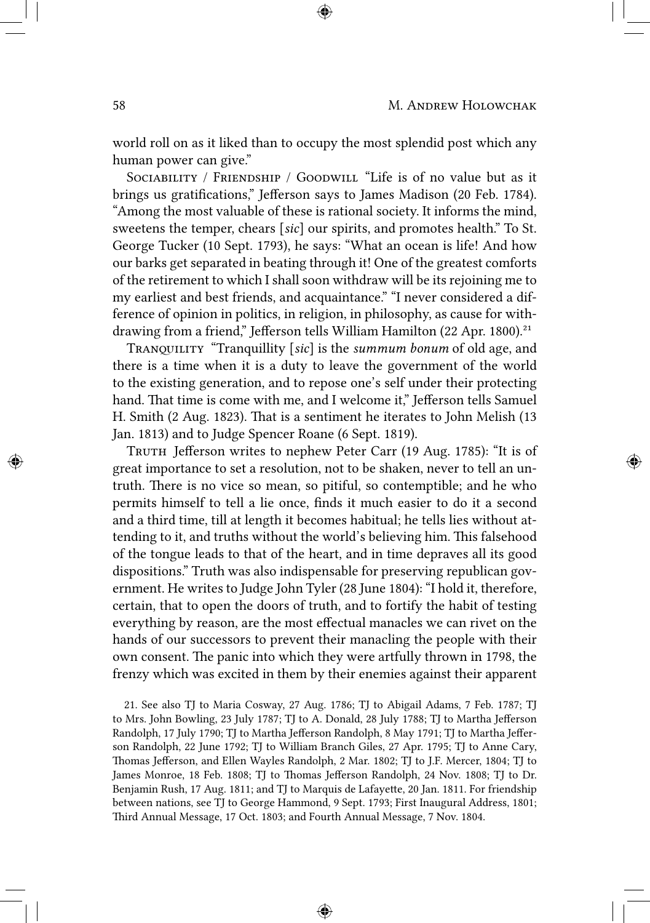world roll on as it liked than to occupy the most splendid post which any human power can give."

SOCIABILITY / FRIENDSHIP / GOODWILL "Life is of no value but as it brings us gratifications," Jefferson says to James Madison (20 Feb. 1784). "Among the most valuable of these is rational society. It informs the mind, sweetens the temper, chears [*sic*] our spirits, and promotes health." To St. George Tucker (10 Sept. 1793), he says: "What an ocean is life! And how our barks get separated in beating through it! One of the greatest comforts of the retirement to which I shall soon withdraw will be its rejoining me to my earliest and best friends, and acquaintance." "I never considered a difference of opinion in politics, in religion, in philosophy, as cause for withdrawing from a friend," Jefferson tells William Hamilton (22 Apr. 1800).<sup>21</sup>

TRANQUILITY "Tranquillity [sic] is the *summum bonum* of old age, and there is a time when it is a duty to leave the government of the world to the existing generation, and to repose one's self under their protecting hand. That time is come with me, and I welcome it," Jefferson tells Samuel H. Smith (2 Aug. 1823). That is a sentiment he iterates to John Melish (13 Jan. 1813) and to Judge Spencer Roane (6 Sept. 1819).

TRUTH Jefferson writes to nephew Peter Carr (19 Aug. 1785): "It is of great importance to set a resolution, not to be shaken, never to tell an untruth. There is no vice so mean, so pitiful, so contemptible; and he who permits himself to tell a lie once, finds it much easier to do it a second and a third time, till at length it becomes habitual; he tells lies without attending to it, and truths without the world's believing him. This falsehood of the tongue leads to that of the heart, and in time depraves all its good dispositions." Truth was also indispensable for preserving republican government. He writes to Judge John Tyler (28 June 1804): "I hold it, therefore, certain, that to open the doors of truth, and to fortify the habit of testing everything by reason, are the most effectual manacles we can rivet on the hands of our successors to prevent their manacling the people with their own consent. The panic into which they were artfully thrown in 1798, the frenzy which was excited in them by their enemies against their apparent

21. See also TJ to Maria Cosway, 27 Aug. 1786; TJ to Abigail Adams, 7 Feb. 1787; TJ to Mrs. John Bowling, 23 July 1787; TJ to A. Donald, 28 July 1788; TJ to Martha Jefferson Randolph, 17 July 1790; TJ to Martha Jefferson Randolph, 8 May 1791; TJ to Martha Jefferson Randolph, 22 June 1792; TJ to William Branch Giles, 27 Apr. 1795; TJ to Anne Cary, Thomas Jefferson, and Ellen Wayles Randolph, 2 Mar. 1802; TJ to J.F. Mercer, 1804; TJ to James Monroe, 18 Feb. 1808; TJ to Thomas Jefferson Randolph, 24 Nov. 1808; TJ to Dr. Benjamin Rush, 17 Aug. 1811; and TJ to Marquis de Lafayette, 20 Jan. 1811. For friendship between nations, see TJ to George Hammond, 9 Sept. 1793; First Inaugural Address, 1801; Third Annual Message, 17 Oct. 1803; and Fourth Annual Message, 7 Nov. 1804.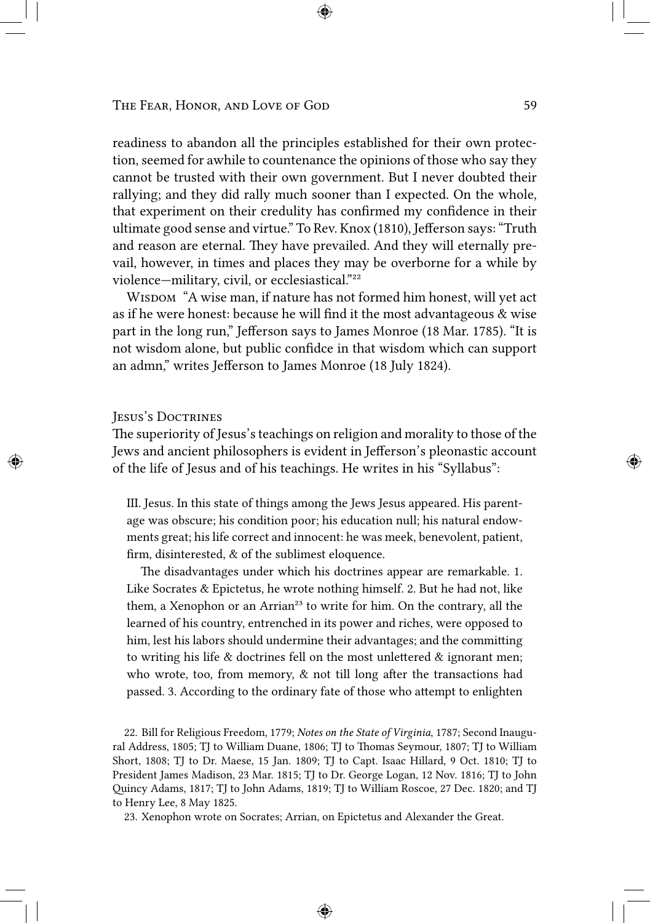readiness to abandon all the principles established for their own protection, seemed for awhile to countenance the opinions of those who say they cannot be trusted with their own government. But I never doubted their rallying; and they did rally much sooner than I expected. On the whole, that experiment on their credulity has confirmed my confidence in their ultimate good sense and virtue." To Rev. Knox (1810), Jefferson says: "Truth and reason are eternal. They have prevailed. And they will eternally prevail, however, in times and places they may be overborne for a while by violence—military, civil, or ecclesiastical."<sup>22</sup>

WISDOM "A wise man, if nature has not formed him honest, will yet act as if he were honest: because he will find it the most advantageous & wise part in the long run," Jefferson says to James Monroe (18 Mar. 1785). "It is not wisdom alone, but public confidce in that wisdom which can support an admn," writes Jefferson to James Monroe (18 July 1824).

### JESUS'S DOCTRINES

The superiority of Jesus's teachings on religion and morality to those of the Jews and ancient philosophers is evident in Jefferson's pleonastic account of the life of Jesus and of his teachings. He writes in his "Syllabus":

III. Jesus. In this state of things among the Jews Jesus appeared. His parentage was obscure; his condition poor; his education null; his natural endowments great; his life correct and innocent: he was meek, benevolent, patient, firm, disinterested, & of the sublimest eloquence.

The disadvantages under which his doctrines appear are remarkable. 1. Like Socrates & Epictetus, he wrote nothing himself. 2. But he had not, like them, a Xenophon or an Arrian<sup>23</sup> to write for him. On the contrary, all the learned of his country, entrenched in its power and riches, were opposed to him, lest his labors should undermine their advantages; and the committing to writing his life  $&$  doctrines fell on the most unlettered  $&$  ignorant men; who wrote, too, from memory,  $\&$  not till long after the transactions had passed. 3. According to the ordinary fate of those who attempt to enlighten

22. Bill for Religious Freedom, 1779; *Notes on the State of Virginia*, 1787; Second Inaugural Address, 1805; TJ to William Duane, 1806; TJ to Thomas Seymour, 1807; TJ to William Short, 1808; TJ to Dr. Maese, 15 Jan. 1809; TJ to Capt. Isaac Hillard, 9 Oct. 1810; TJ to President James Madison, 23 Mar. 1815; TJ to Dr. George Logan, 12 Nov. 1816; TJ to John incy Adams, 1817; TJ to John Adams, 1819; TJ to William Roscoe, 27 Dec. 1820; and TJ to Henry Lee, 8 May 1825.

23. Xenophon wrote on Socrates; Arrian, on Epictetus and Alexander the Great.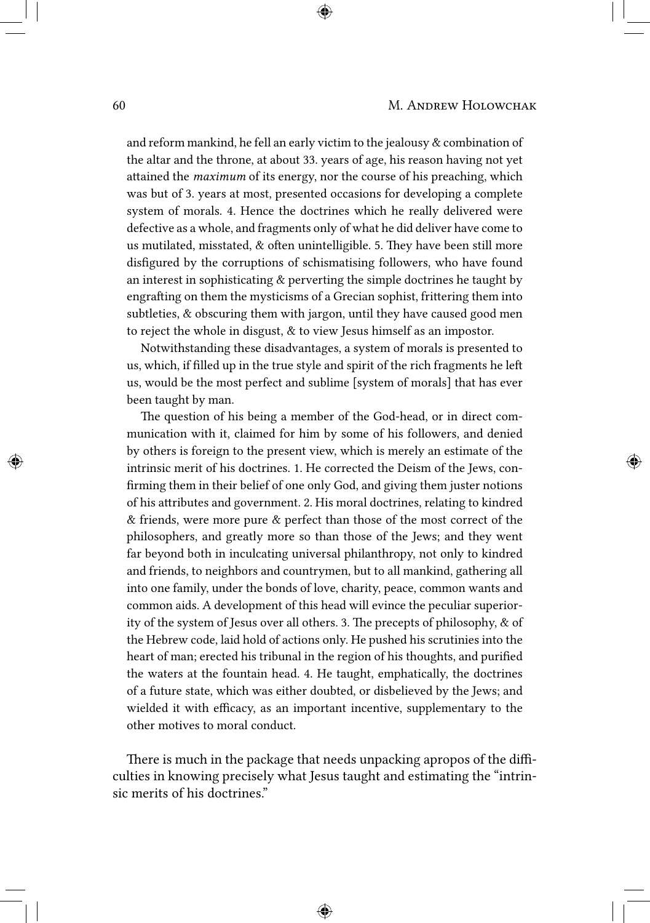and reform mankind, he fell an early victim to the jealousy & combination of the altar and the throne, at about 33. years of age, his reason having not yet attained the *maximum* of its energy, nor the course of his preaching, which was but of 3. years at most, presented occasions for developing a complete system of morals. 4. Hence the doctrines which he really delivered were defective as a whole, and fragments only of what he did deliver have come to us mutilated, misstated, & often unintelligible. 5. They have been still more disfigured by the corruptions of schismatising followers, who have found an interest in sophisticating & perverting the simple doctrines he taught by engrafting on them the mysticisms of a Grecian sophist, frittering them into subtleties, & obscuring them with jargon, until they have caused good men to reject the whole in disgust, & to view Jesus himself as an impostor.

Notwithstanding these disadvantages, a system of morals is presented to us, which, if filled up in the true style and spirit of the rich fragments he le us, would be the most perfect and sublime [system of morals] that has ever been taught by man.

The question of his being a member of the God-head, or in direct communication with it, claimed for him by some of his followers, and denied by others is foreign to the present view, which is merely an estimate of the intrinsic merit of his doctrines. 1. He corrected the Deism of the Jews, confirming them in their belief of one only God, and giving them juster notions of his attributes and government. 2. His moral doctrines, relating to kindred & friends, were more pure & perfect than those of the most correct of the philosophers, and greatly more so than those of the Jews; and they went far beyond both in inculcating universal philanthropy, not only to kindred and friends, to neighbors and countrymen, but to all mankind, gathering all into one family, under the bonds of love, charity, peace, common wants and common aids. A development of this head will evince the peculiar superiority of the system of Jesus over all others. 3. The precepts of philosophy,  $\&$  of the Hebrew code, laid hold of actions only. He pushed his scrutinies into the heart of man; erected his tribunal in the region of his thoughts, and purified the waters at the fountain head. 4. He taught, emphatically, the doctrines of a future state, which was either doubted, or disbelieved by the Jews; and wielded it with efficacy, as an important incentive, supplementary to the other motives to moral conduct.

There is much in the package that needs unpacking apropos of the difficulties in knowing precisely what Jesus taught and estimating the "intrinsic merits of his doctrines."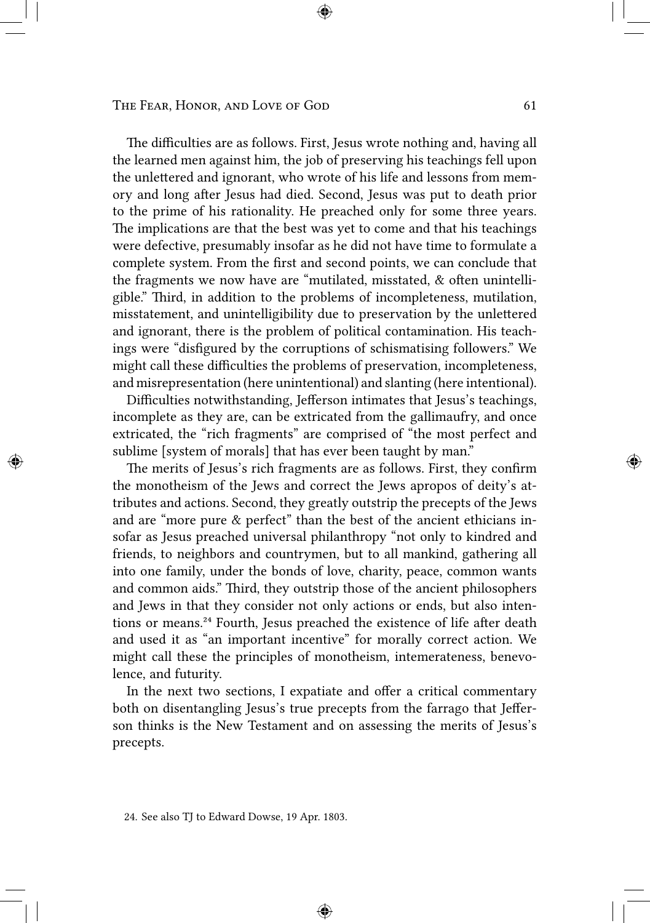The difficulties are as follows. First, Jesus wrote nothing and, having all the learned men against him, the job of preserving his teachings fell upon the unlettered and ignorant, who wrote of his life and lessons from memory and long after Jesus had died. Second, Jesus was put to death prior to the prime of his rationality. He preached only for some three years. The implications are that the best was yet to come and that his teachings were defective, presumably insofar as he did not have time to formulate a complete system. From the first and second points, we can conclude that the fragments we now have are "mutilated, misstated,  $\&$  often unintelligible." Third, in addition to the problems of incompleteness, mutilation, misstatement, and unintelligibility due to preservation by the unlettered and ignorant, there is the problem of political contamination. His teachings were "disfigured by the corruptions of schismatising followers." We might call these difficulties the problems of preservation, incompleteness, and misrepresentation (here unintentional) and slanting (here intentional).

Difficulties notwithstanding, Jefferson intimates that Jesus's teachings, incomplete as they are, can be extricated from the gallimaufry, and once extricated, the "rich fragments" are comprised of "the most perfect and sublime [system of morals] that has ever been taught by man."

The merits of Jesus's rich fragments are as follows. First, they confirm the monotheism of the Jews and correct the Jews apropos of deity's attributes and actions. Second, they greatly outstrip the precepts of the Jews and are "more pure & perfect" than the best of the ancient ethicians insofar as Jesus preached universal philanthropy "not only to kindred and friends, to neighbors and countrymen, but to all mankind, gathering all into one family, under the bonds of love, charity, peace, common wants and common aids." Third, they outstrip those of the ancient philosophers and Jews in that they consider not only actions or ends, but also intentions or means.<sup>24</sup> Fourth, Jesus preached the existence of life after death and used it as "an important incentive" for morally correct action. We might call these the principles of monotheism, intemerateness, benevolence, and futurity.

In the next two sections, I expatiate and offer a critical commentary both on disentangling Jesus's true precepts from the farrago that Jefferson thinks is the New Testament and on assessing the merits of Jesus's precepts.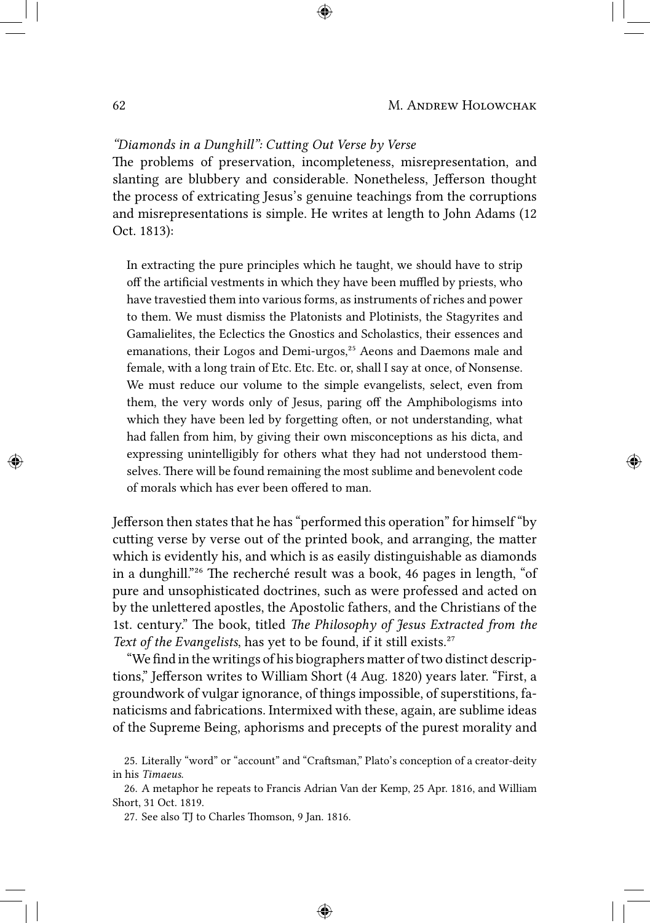# "Diamonds in a Dunghill": Cutting Out Verse by Verse

The problems of preservation, incompleteness, misrepresentation, and slanting are blubbery and considerable. Nonetheless, Jefferson thought the process of extricating Jesus's genuine teachings from the corruptions and misrepresentations is simple. He writes at length to John Adams (12 Oct. 1813):

In extracting the pure principles which he taught, we should have to strip off the artificial vestments in which they have been muffled by priests, who have travestied them into various forms, as instruments of riches and power to them. We must dismiss the Platonists and Plotinists, the Stagyrites and Gamalielites, the Eclectics the Gnostics and Scholastics, their essences and emanations, their Logos and Demi-urgos,<sup>25</sup> Aeons and Daemons male and female, with a long train of Etc. Etc. Etc. or, shall I say at once, of Nonsense. We must reduce our volume to the simple evangelists, select, even from them, the very words only of Jesus, paring off the Amphibologisms into which they have been led by forgetting often, or not understanding, what had fallen from him, by giving their own misconceptions as his dicta, and expressing unintelligibly for others what they had not understood themselves. There will be found remaining the most sublime and benevolent code of morals which has ever been offered to man.

Jefferson then states that he has "performed this operation" for himself "by cutting verse by verse out of the printed book, and arranging, the matter which is evidently his, and which is as easily distinguishable as diamonds in a dunghill.<sup>"26</sup> The recherché result was a book, 46 pages in length, "of pure and unsophisticated doctrines, such as were professed and acted on by the unlettered apostles, the Apostolic fathers, and the Christians of the 1st. century." The book, titled *The Philosophy of Jesus Extracted from the Text of the Evangelists*, has yet to be found, if it still exists.<sup>27</sup>

"We find in the writings of his biographers matter of two distinct descriptions," Jefferson writes to William Short (4 Aug. 1820) years later. "First, a groundwork of vulgar ignorance, of things impossible, of superstitions, fanaticisms and fabrications. Intermixed with these, again, are sublime ideas of the Supreme Being, aphorisms and precepts of the purest morality and

<sup>25.</sup> Literally "word" or "account" and "Craftsman," Plato's conception of a creator-deity in his *Timaeus*.

<sup>26.</sup> A metaphor he repeats to Francis Adrian Van der Kemp, 25 Apr. 1816, and William Short, 31 Oct. 1819.

<sup>27.</sup> See also TJ to Charles Thomson, 9 Jan. 1816.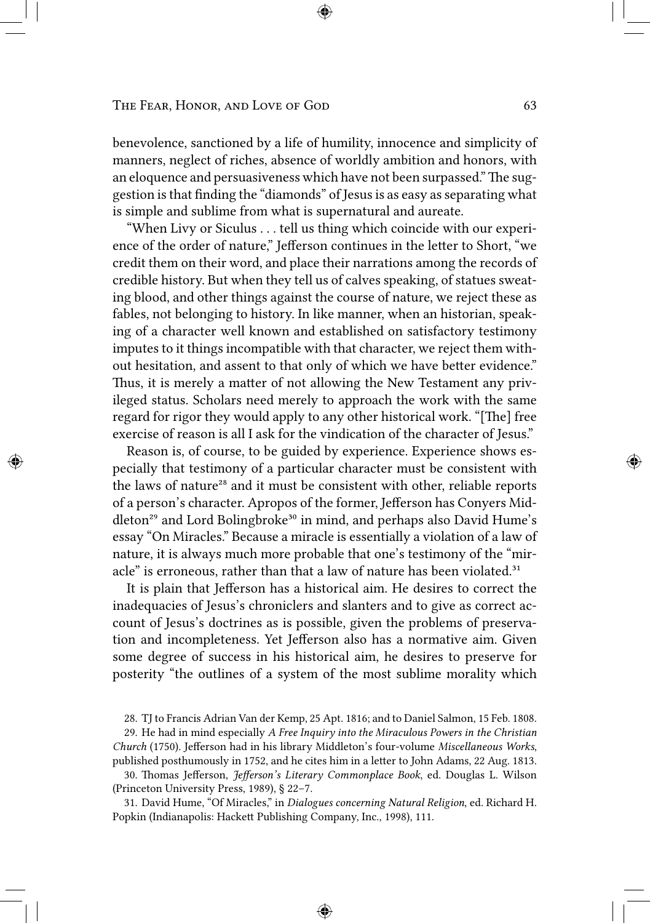benevolence, sanctioned by a life of humility, innocence and simplicity of manners, neglect of riches, absence of worldly ambition and honors, with an eloquence and persuasiveness which have not been surpassed." The suggestion is that finding the "diamonds" of Jesus is as easy as separating what is simple and sublime from what is supernatural and aureate.

"When Livy or Siculus . . . tell us thing which coincide with our experience of the order of nature," Jefferson continues in the letter to Short, "we credit them on their word, and place their narrations among the records of credible history. But when they tell us of calves speaking, of statues sweating blood, and other things against the course of nature, we reject these as fables, not belonging to history. In like manner, when an historian, speaking of a character well known and established on satisfactory testimony imputes to it things incompatible with that character, we reject them without hesitation, and assent to that only of which we have better evidence." Thus, it is merely a matter of not allowing the New Testament any privileged status. Scholars need merely to approach the work with the same regard for rigor they would apply to any other historical work. "[The] free exercise of reason is all I ask for the vindication of the character of Jesus."

Reason is, of course, to be guided by experience. Experience shows especially that testimony of a particular character must be consistent with the laws of nature<sup>28</sup> and it must be consistent with other, reliable reports of a person's character. Apropos of the former, Jefferson has Conyers Middleton<sup>29</sup> and Lord Bolingbroke<sup>30</sup> in mind, and perhaps also David Hume's essay "On Miracles." Because a miracle is essentially a violation of a law of nature, it is always much more probable that one's testimony of the "miracle" is erroneous, rather than that a law of nature has been violated.<sup>31</sup>

It is plain that Jefferson has a historical aim. He desires to correct the inadequacies of Jesus's chroniclers and slanters and to give as correct account of Jesus's doctrines as is possible, given the problems of preservation and incompleteness. Yet Jefferson also has a normative aim. Given some degree of success in his historical aim, he desires to preserve for posterity "the outlines of a system of the most sublime morality which

30. Thomas Jefferson, *Jefferson's Literary Commonplace Book*, ed. Douglas L. Wilson (Princeton University Press, 1989), § 22–7.

31. David Hume, "Of Miracles," in *Dialogues concerning Natural Religion*, ed. Richard H. Popkin (Indianapolis: Hackett Publishing Company, Inc., 1998), 111.

<sup>28.</sup> TJ to Francis Adrian Van der Kemp, 25 Apt. 1816; and to Daniel Salmon, 15 Feb. 1808.

<sup>29.</sup> He had in mind especially *A Free Inquiry into the Miraculous Powers in the Christian Church* (1750). Jefferson had in his library Middleton's four-volume *Miscellaneous Works*, published posthumously in 1752, and he cites him in a letter to John Adams, 22 Aug. 1813.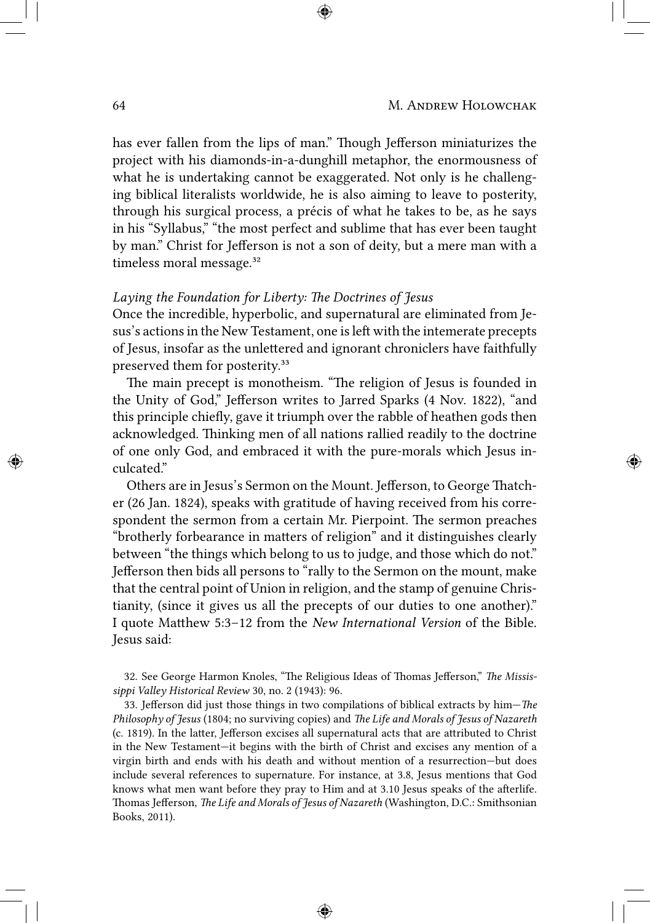has ever fallen from the lips of man." Though Jefferson miniaturizes the project with his diamonds-in-a-dunghill metaphor, the enormousness of what he is undertaking cannot be exaggerated. Not only is he challenging biblical literalists worldwide, he is also aiming to leave to posterity, through his surgical process, a précis of what he takes to be, as he says in his "Syllabus," "the most perfect and sublime that has ever been taught by man." Christ for Jefferson is not a son of deity, but a mere man with a timeless moral message.<sup>32</sup>

# Laying the Foundation for Liberty: The Doctrines of Jesus

Once the incredible, hyperbolic, and supernatural are eliminated from Jesus's actions in the New Testament, one is left with the intemerate precepts of Jesus, insofar as the unlettered and ignorant chroniclers have faithfully preserved them for posterity.<sup>33</sup>

The main precept is monotheism. "The religion of Jesus is founded in the Unity of God," Jefferson writes to Jarred Sparks (4 Nov. 1822), "and this principle chiefly, gave it triumph over the rabble of heathen gods then acknowledged. Thinking men of all nations rallied readily to the doctrine of one only God, and embraced it with the pure-morals which Jesus inculcated."

Others are in Jesus's Sermon on the Mount. Jefferson, to George Thatcher (26 Jan. 1824), speaks with gratitude of having received from his correspondent the sermon from a certain Mr. Pierpoint. The sermon preaches "brotherly forbearance in matters of religion" and it distinguishes clearly between "the things which belong to us to judge, and those which do not." Jefferson then bids all persons to "rally to the Sermon on the mount, make that the central point of Union in religion, and the stamp of genuine Christianity, (since it gives us all the precepts of our duties to one another)." I quote Matthew 5:3-12 from the *New International Version* of the Bible. Jesus said:

32. See George Harmon Knoles, "The Religious Ideas of Thomas Jefferson," The Missis*sippi Valley Historical Review* 30, no. 2 (1943): 96.

33. Jefferson did just those things in two compilations of biblical extracts by him-*The Philosophy of Jesus* (1804; no surviving copies) and *The Life and Morals of Jesus of Nazareth* (c. 1819). In the latter, Jefferson excises all supernatural acts that are attributed to Christ in the New Testament—it begins with the birth of Christ and excises any mention of a virgin birth and ends with his death and without mention of a resurrection—but does include several references to supernature. For instance, at 3.8, Jesus mentions that God knows what men want before they pray to Him and at 3.10 Jesus speaks of the afterlife. Thomas Jefferson, *The Life and Morals of Jesus of Nazareth* (Washington, D.C.: Smithsonian Books, 2011).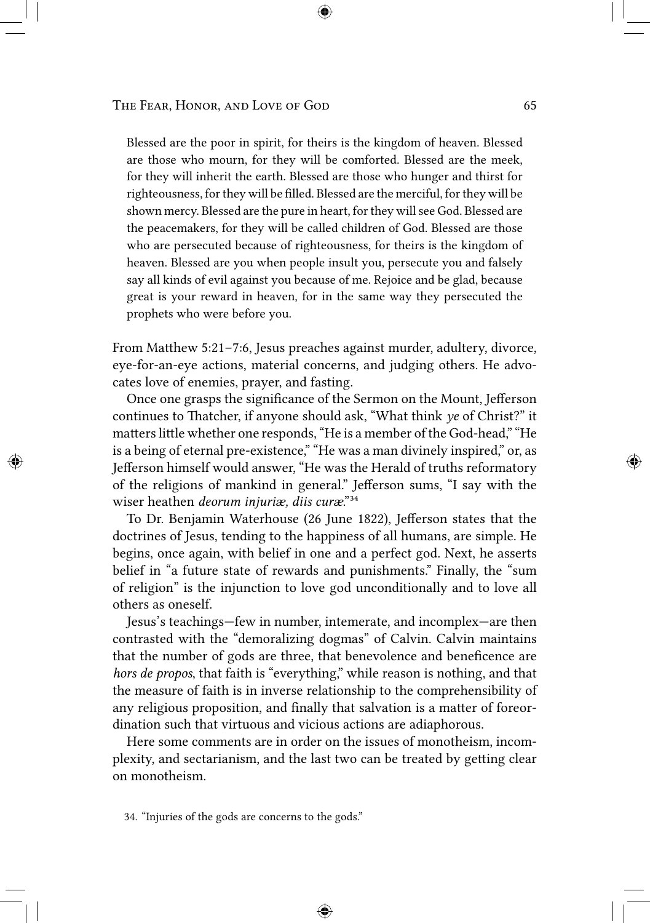Blessed are the poor in spirit, for theirs is the kingdom of heaven. Blessed are those who mourn, for they will be comforted. Blessed are the meek, for they will inherit the earth. Blessed are those who hunger and thirst for righteousness, for they will be filled. Blessed are the merciful, for they will be shown mercy. Blessed are the pure in heart, for they will see God. Blessed are the peacemakers, for they will be called children of God. Blessed are those who are persecuted because of righteousness, for theirs is the kingdom of heaven. Blessed are you when people insult you, persecute you and falsely say all kinds of evil against you because of me. Rejoice and be glad, because great is your reward in heaven, for in the same way they persecuted the prophets who were before you.

From Matthew 5:21–7:6, Jesus preaches against murder, adultery, divorce, eye-for-an-eye actions, material concerns, and judging others. He advocates love of enemies, prayer, and fasting.

Once one grasps the significance of the Sermon on the Mount, Jefferson continues to Thatcher, if anyone should ask, "What think *ye* of Christ?" it matters little whether one responds, "He is a member of the God-head," "He is a being of eternal pre-existence," "He was a man divinely inspired," or, as Jefferson himself would answer, "He was the Herald of truths reformatory of the religions of mankind in general." Jefferson sums, "I say with the wiser heathen *deorum injuriæ*, diis curæ."<sup>34</sup>

To Dr. Benjamin Waterhouse (26 June 1822), Jefferson states that the doctrines of Jesus, tending to the happiness of all humans, are simple. He begins, once again, with belief in one and a perfect god. Next, he asserts belief in "a future state of rewards and punishments." Finally, the "sum of religion" is the injunction to love god unconditionally and to love all others as oneself.

Jesus's teachings—few in number, intemerate, and incomplex—are then contrasted with the "demoralizing dogmas" of Calvin. Calvin maintains that the number of gods are three, that benevolence and beneficence are *hors de propos*, that faith is "everything," while reason is nothing, and that the measure of faith is in inverse relationship to the comprehensibility of any religious proposition, and finally that salvation is a matter of foreordination such that virtuous and vicious actions are adiaphorous.

Here some comments are in order on the issues of monotheism, incomplexity, and sectarianism, and the last two can be treated by getting clear on monotheism.

<sup>34. &</sup>quot;Injuries of the gods are concerns to the gods."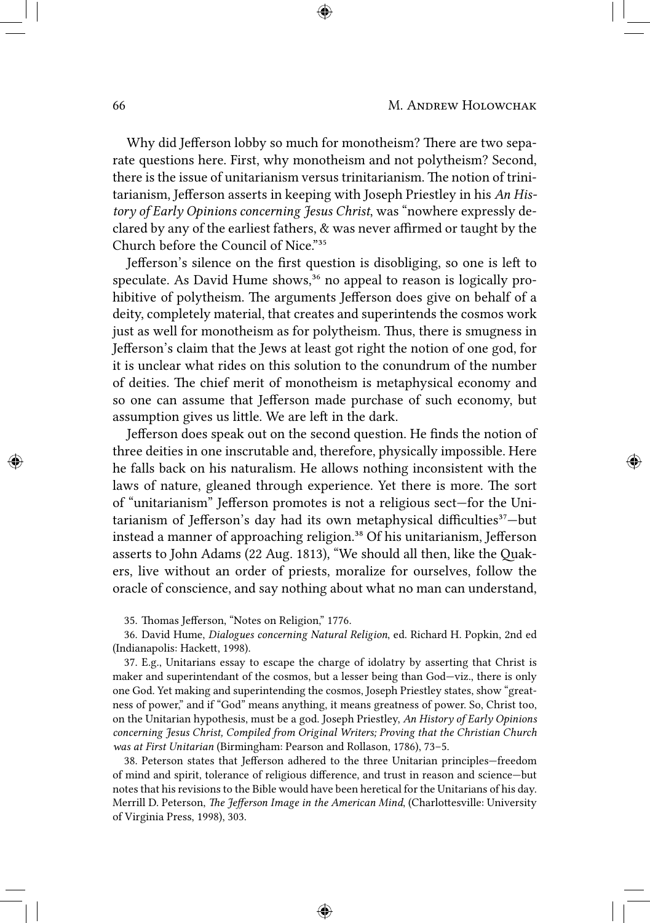Why did Jefferson lobby so much for monotheism? There are two separate questions here. First, why monotheism and not polytheism? Second, there is the issue of unitarianism versus trinitarianism. The notion of trinitarianism, Jefferson asserts in keeping with Joseph Priestley in his *An History of Early Opinions concerning Jesus Christ*, was "nowhere expressly declared by any of the earliest fathers, & was never affirmed or taught by the Church before the Council of Nice."35

Jefferson's silence on the first question is disobliging, so one is left to speculate. As David Hume shows,<sup>36</sup> no appeal to reason is logically prohibitive of polytheism. The arguments Jefferson does give on behalf of a deity, completely material, that creates and superintends the cosmos work just as well for monotheism as for polytheism. Thus, there is smugness in Jefferson's claim that the Jews at least got right the notion of one god, for it is unclear what rides on this solution to the conundrum of the number of deities. The chief merit of monotheism is metaphysical economy and so one can assume that Jefferson made purchase of such economy, but assumption gives us little. We are left in the dark.

Jefferson does speak out on the second question. He finds the notion of three deities in one inscrutable and, therefore, physically impossible. Here he falls back on his naturalism. He allows nothing inconsistent with the laws of nature, gleaned through experience. Yet there is more. The sort of "unitarianism" Jefferson promotes is not a religious sect—for the Unitarianism of Jefferson's day had its own metaphysical difficulties<sup>37</sup>-but instead a manner of approaching religion.<sup>38</sup> Of his unitarianism, Jefferson asserts to John Adams (22 Aug. 1813), "We should all then, like the Quakers, live without an order of priests, moralize for ourselves, follow the oracle of conscience, and say nothing about what no man can understand,

35. Thomas Jefferson, "Notes on Religion," 1776.

36. David Hume, *Dialogues concerning Natural Religion*, ed. Richard H. Popkin, 2nd ed (Indianapolis: Hackett, 1998).

37. E.g., Unitarians essay to escape the charge of idolatry by asserting that Christ is maker and superintendant of the cosmos, but a lesser being than God—viz., there is only one God. Yet making and superintending the cosmos, Joseph Priestley states, show "greatness of power," and if "God" means anything, it means greatness of power. So, Christ too, on the Unitarian hypothesis, must be a god. Joseph Priestley, *An History of Early Opinions concerning Jesus Christ, Compiled from Original Writers; Proving that the Christian Church was at First Unitarian* (Birmingham: Pearson and Rollason, 1786), 73–5.

38. Peterson states that Jefferson adhered to the three Unitarian principles—freedom of mind and spirit, tolerance of religious difference, and trust in reason and science—but notes that his revisions to the Bible would have been heretical for the Unitarians of his day. Merrill D. Peterson, *The Jefferson Image in the American Mind*, (Charlottesville: University of Virginia Press, 1998), 303.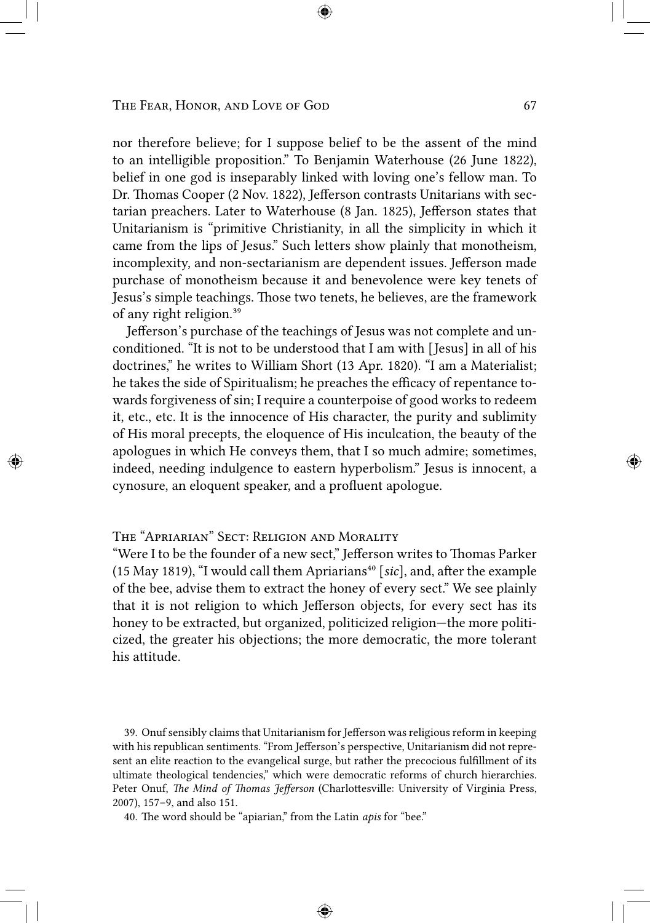nor therefore believe; for I suppose belief to be the assent of the mind to an intelligible proposition." To Benjamin Waterhouse (26 June 1822), belief in one god is inseparably linked with loving one's fellow man. To Dr. Thomas Cooper (2 Nov. 1822), Jefferson contrasts Unitarians with sectarian preachers. Later to Waterhouse (8 Jan. 1825), Jefferson states that Unitarianism is "primitive Christianity, in all the simplicity in which it came from the lips of Jesus." Such letters show plainly that monotheism, incomplexity, and non-sectarianism are dependent issues. Jefferson made purchase of monotheism because it and benevolence were key tenets of Jesus's simple teachings. Those two tenets, he believes, are the framework of any right religion.<sup>39</sup>

Jefferson's purchase of the teachings of Jesus was not complete and unconditioned. "It is not to be understood that I am with [Jesus] in all of his doctrines," he writes to William Short (13 Apr. 1820). "I am a Materialist; he takes the side of Spiritualism; he preaches the efficacy of repentance towards forgiveness of sin; I require a counterpoise of good works to redeem it, etc., etc. It is the innocence of His character, the purity and sublimity of His moral precepts, the eloquence of His inculcation, the beauty of the apologues in which He conveys them, that I so much admire; sometimes, indeed, needing indulgence to eastern hyperbolism." Jesus is innocent, a cynosure, an eloquent speaker, and a profluent apologue.

# THE "APRIARIAN" SECT: RELIGION AND MORALITY

"Were I to be the founder of a new sect," Jefferson writes to Thomas Parker (15 May 1819), "I would call them Apriarians<sup>40</sup> [*sic*], and, after the example of the bee, advise them to extract the honey of every sect." We see plainly that it is not religion to which Jefferson objects, for every sect has its honey to be extracted, but organized, politicized religion—the more politicized, the greater his objections; the more democratic, the more tolerant his attitude.

39. Onuf sensibly claims that Unitarianism for Jefferson was religious reform in keeping with his republican sentiments. "From Jefferson's perspective, Unitarianism did not represent an elite reaction to the evangelical surge, but rather the precocious fulfillment of its ultimate theological tendencies," which were democratic reforms of church hierarchies. Peter Onuf, *The Mind of Thomas Jefferson* (Charlottesville: University of Virginia Press, 2007), 157–9, and also 151.

40. The word should be "apiarian," from the Latin *apis* for "bee."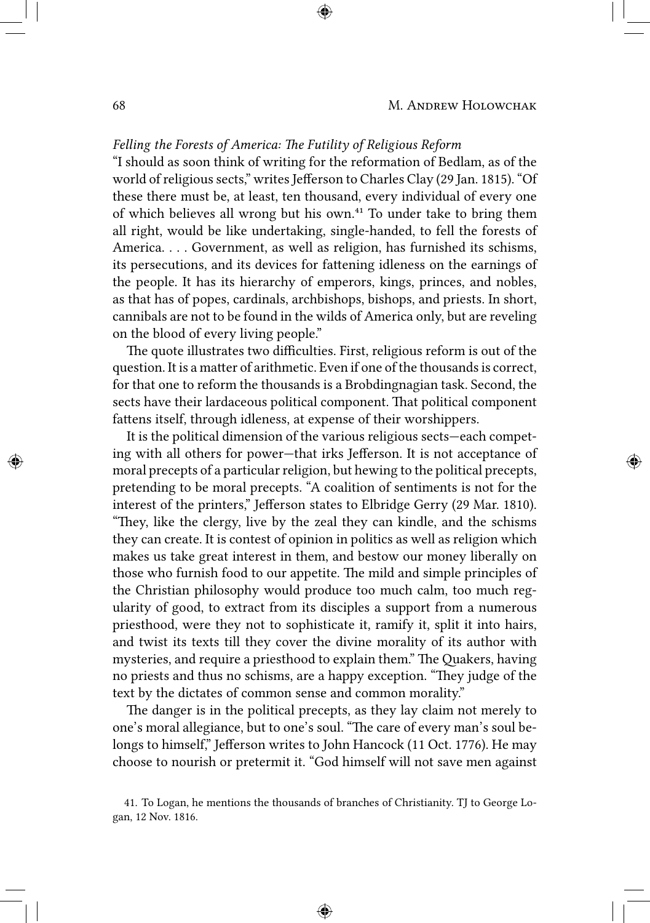## *Felling the Forests of America: The Futility of Religious Reform*

"I should as soon think of writing for the reformation of Bedlam, as of the world of religious sects," writes Jefferson to Charles Clay (29 Jan. 1815). "Of these there must be, at least, ten thousand, every individual of every one of which believes all wrong but his own.<sup>41</sup> To under take to bring them all right, would be like undertaking, single-handed, to fell the forests of America. . . . Government, as well as religion, has furnished its schisms, its persecutions, and its devices for fattening idleness on the earnings of the people. It has its hierarchy of emperors, kings, princes, and nobles, as that has of popes, cardinals, archbishops, bishops, and priests. In short, cannibals are not to be found in the wilds of America only, but are reveling on the blood of every living people."

The quote illustrates two difficulties. First, religious reform is out of the question. It is a matter of arithmetic. Even if one of the thousands is correct, for that one to reform the thousands is a Brobdingnagian task. Second, the sects have their lardaceous political component. That political component fattens itself, through idleness, at expense of their worshippers.

It is the political dimension of the various religious sects—each competing with all others for power—that irks Jefferson. It is not acceptance of moral precepts of a particular religion, but hewing to the political precepts, pretending to be moral precepts. "A coalition of sentiments is not for the interest of the printers," Jefferson states to Elbridge Gerry (29 Mar. 1810). "They, like the clergy, live by the zeal they can kindle, and the schisms they can create. It is contest of opinion in politics as well as religion which makes us take great interest in them, and bestow our money liberally on those who furnish food to our appetite. The mild and simple principles of the Christian philosophy would produce too much calm, too much regularity of good, to extract from its disciples a support from a numerous priesthood, were they not to sophisticate it, ramify it, split it into hairs, and twist its texts till they cover the divine morality of its author with mysteries, and require a priesthood to explain them." The Quakers, having no priests and thus no schisms, are a happy exception. "They judge of the text by the dictates of common sense and common morality."

The danger is in the political precepts, as they lay claim not merely to one's moral allegiance, but to one's soul. "The care of every man's soul belongs to himself," Jefferson writes to John Hancock (11 Oct. 1776). He may choose to nourish or pretermit it. "God himself will not save men against

<sup>41.</sup> To Logan, he mentions the thousands of branches of Christianity. TJ to George Logan, 12 Nov. 1816.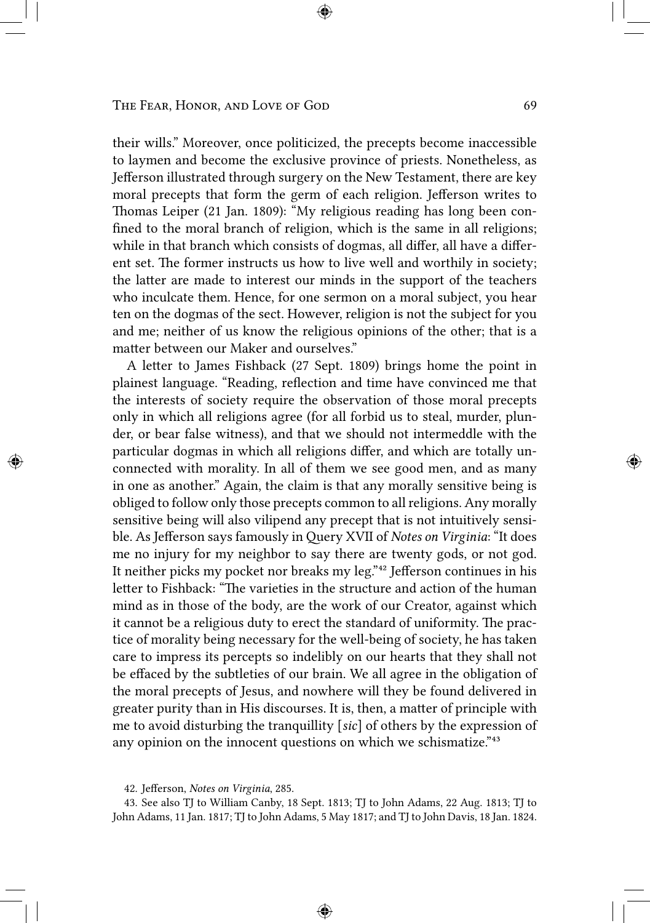their wills." Moreover, once politicized, the precepts become inaccessible to laymen and become the exclusive province of priests. Nonetheless, as Jefferson illustrated through surgery on the New Testament, there are key moral precepts that form the germ of each religion. Jefferson writes to Thomas Leiper (21 Jan. 1809): "My religious reading has long been confined to the moral branch of religion, which is the same in all religions; while in that branch which consists of dogmas, all differ, all have a different set. The former instructs us how to live well and worthily in society; the latter are made to interest our minds in the support of the teachers who inculcate them. Hence, for one sermon on a moral subject, you hear ten on the dogmas of the sect. However, religion is not the subject for you and me; neither of us know the religious opinions of the other; that is a matter between our Maker and ourselves."

A letter to James Fishback (27 Sept. 1809) brings home the point in plainest language. "Reading, reflection and time have convinced me that the interests of society require the observation of those moral precepts only in which all religions agree (for all forbid us to steal, murder, plunder, or bear false witness), and that we should not intermeddle with the particular dogmas in which all religions differ, and which are totally unconnected with morality. In all of them we see good men, and as many in one as another." Again, the claim is that any morally sensitive being is obliged to follow only those precepts common to all religions. Any morally sensitive being will also vilipend any precept that is not intuitively sensible. As Jefferson says famously in Query XVII of *Notes on Virginia*: "It does me no injury for my neighbor to say there are twenty gods, or not god. It neither picks my pocket nor breaks my leg."<sup>42</sup> Jefferson continues in his letter to Fishback: "The varieties in the structure and action of the human mind as in those of the body, are the work of our Creator, against which it cannot be a religious duty to erect the standard of uniformity. The practice of morality being necessary for the well-being of society, he has taken care to impress its percepts so indelibly on our hearts that they shall not be effaced by the subtleties of our brain. We all agree in the obligation of the moral precepts of Jesus, and nowhere will they be found delivered in greater purity than in His discourses. It is, then, a matter of principle with me to avoid disturbing the tranquillity [*sic*] of others by the expression of any opinion on the innocent questions on which we schismatize."<sup>43</sup>

43. See also TJ to William Canby, 18 Sept. 1813; TJ to John Adams, 22 Aug. 1813; TJ to John Adams, 11 Jan. 1817; TJ to John Adams, 5 May 1817; and TJ to John Davis, 18 Jan. 1824.

<sup>42.</sup> Jefferson, *Notes on Virginia*, 285.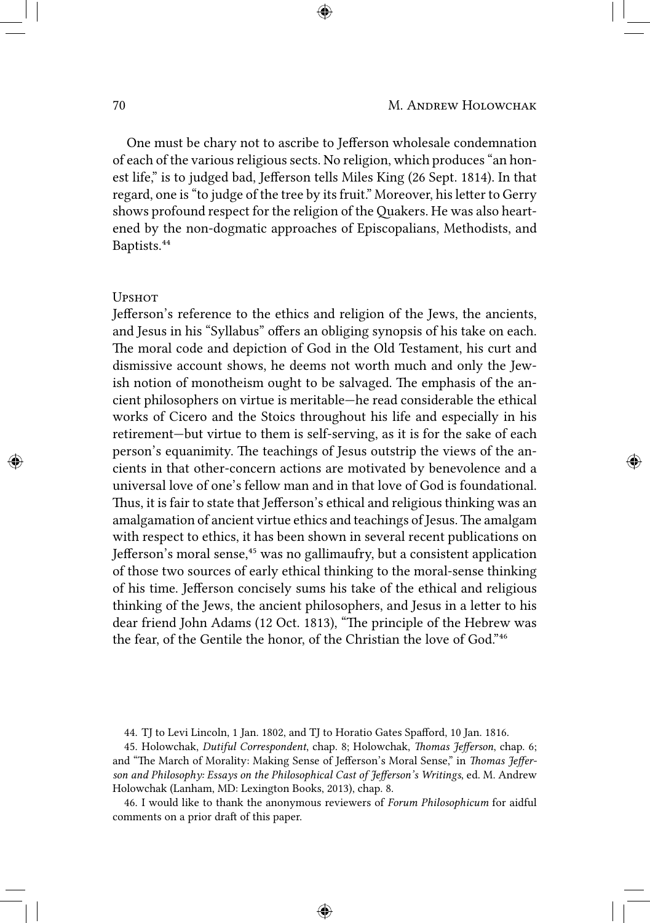One must be chary not to ascribe to Jefferson wholesale condemnation of each of the various religious sects. No religion, which produces "an honest life," is to judged bad, Jefferson tells Miles King (26 Sept. 1814). In that regard, one is "to judge of the tree by its fruit." Moreover, his letter to Gerry shows profound respect for the religion of the Quakers. He was also heartened by the non-dogmatic approaches of Episcopalians, Methodists, and Baptists.<sup>44</sup>

### **UPSHOT**

Jefferson's reference to the ethics and religion of the Jews, the ancients, and Jesus in his "Syllabus" offers an obliging synopsis of his take on each. The moral code and depiction of God in the Old Testament, his curt and dismissive account shows, he deems not worth much and only the Jewish notion of monotheism ought to be salvaged. The emphasis of the ancient philosophers on virtue is meritable—he read considerable the ethical works of Cicero and the Stoics throughout his life and especially in his retirement—but virtue to them is self-serving, as it is for the sake of each person's equanimity. The teachings of Jesus outstrip the views of the ancients in that other-concern actions are motivated by benevolence and a universal love of one's fellow man and in that love of God is foundational. Thus, it is fair to state that Jefferson's ethical and religious thinking was an amalgamation of ancient virtue ethics and teachings of Jesus. The amalgam with respect to ethics, it has been shown in several recent publications on Jefferson's moral sense,<sup>45</sup> was no gallimaufry, but a consistent application of those two sources of early ethical thinking to the moral-sense thinking of his time. Jefferson concisely sums his take of the ethical and religious thinking of the Jews, the ancient philosophers, and Jesus in a letter to his dear friend John Adams (12 Oct. 1813), "The principle of the Hebrew was the fear, of the Gentile the honor, of the Christian the love of God."<sup>46</sup>

45. Holowchak, *Dutiful Correspondent*, chap. 8; Holowchak, *Thomas Jefferson*, chap. 6; and "The March of Morality: Making Sense of Jefferson's Moral Sense," in *Thomas Jefferson and Philosophy: Essays on the Philosophical Cast of Jefferson's Writings*, ed. M. Andrew Holowchak (Lanham, MD: Lexington Books, 2013), chap. 8.

46. I would like to thank the anonymous reviewers of *Forum Philosophicum* for aidful comments on a prior draft of this paper.

<sup>44.</sup> TJ to Levi Lincoln, 1 Jan. 1802, and TJ to Horatio Gates Spafford, 10 Jan. 1816.